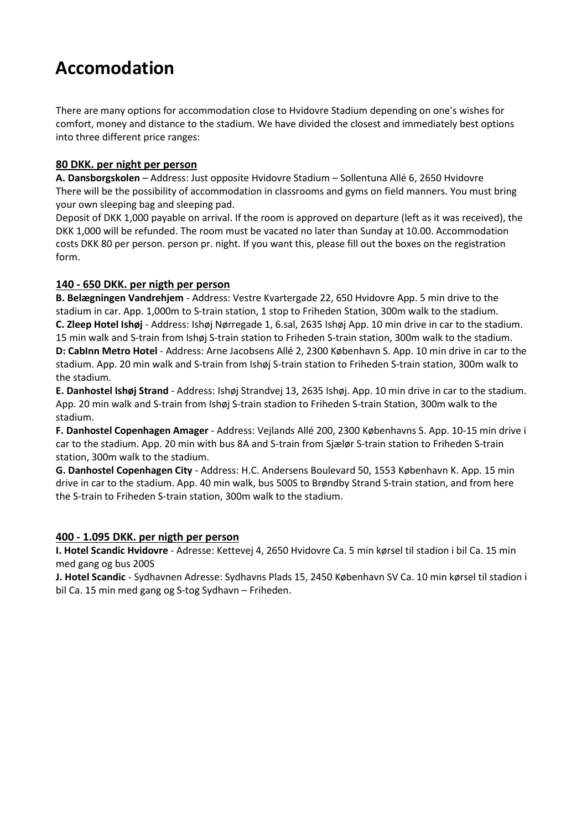# **Accomodation**

There are many options for accommodation close to Hvidovre Stadium depending on one's wishes for comfort, money and distance to the stadium. We have divided the closest and immediately best options into three different price ranges:

### **80 DKK. per night per person**

**A. Dansborgskolen** – Address: Just opposite Hvidovre Stadium – Sollentuna Allé 6, 2650 Hvidovre There will be the possibility of accommodation in classrooms and gyms on field manners. You must bring your own sleeping bag and sleeping pad.

Deposit of DKK 1,000 payable on arrival. If the room is approved on departure (left as it was received), the DKK 1,000 will be refunded. The room must be vacated no later than Sunday at 10.00. Accommodation costs DKK 80 per person. person pr. night. If you want this, please fill out the boxes on the registration form.

### **140 - 650 DKK. per nigth per person**

**B. Belægningen Vandrehjem** - Address: Vestre Kvartergade 22, 650 Hvidovre App. 5 min drive to the stadium in car. App. 1,000m to S-train station, 1 stop to Friheden Station, 300m walk to the stadium. **C. Zleep Hotel Ishøj** - Address: Ishøj Nørregade 1, 6.sal, 2635 Ishøj App. 10 min drive in car to the stadium. 15 min walk and S-train from Ishøj S-train station to Friheden S-train station, 300m walk to the stadium. **D: CabInn Metro Hotel** - Address: Arne Jacobsens Allé 2, 2300 København S. App. 10 min drive in car to the stadium. App. 20 min walk and S-train from Ishøj S-train station to Friheden S-train station, 300m walk to the stadium.

**E. Danhostel Ishøj Strand** - Address: Ishøj Strandvej 13, 2635 Ishøj. App. 10 min drive in car to the stadium. App. 20 min walk and S-train from Ishøj S-train stadion to Friheden S-train Station, 300m walk to the stadium.

**F. Danhostel Copenhagen Amager** - Address: Vejlands Allé 200, 2300 Københavns S. App. 10-15 min drive i car to the stadium. App. 20 min with bus 8A and S-train from Sjælør S-train station to Friheden S-train station, 300m walk to the stadium.

**G. Danhostel Copenhagen City** - Address: H.C. Andersens Boulevard 50, 1553 København K. App. 15 min drive in car to the stadium. App. 40 min walk, bus 500S to Brøndby Strand S-train station, and from here the S-train to Friheden S-train station, 300m walk to the stadium.

#### **400 - 1.095 DKK. per nigth per person**

**I. Hotel Scandic Hvidovre** - Adresse: Kettevej 4, 2650 Hvidovre Ca. 5 min kørsel til stadion i bil Ca. 15 min med gang og bus 200S

**J. Hotel Scandic** - Sydhavnen Adresse: Sydhavns Plads 15, 2450 København SV Ca. 10 min kørsel til stadion i bil Ca. 15 min med gang og S-tog Sydhavn – Friheden.